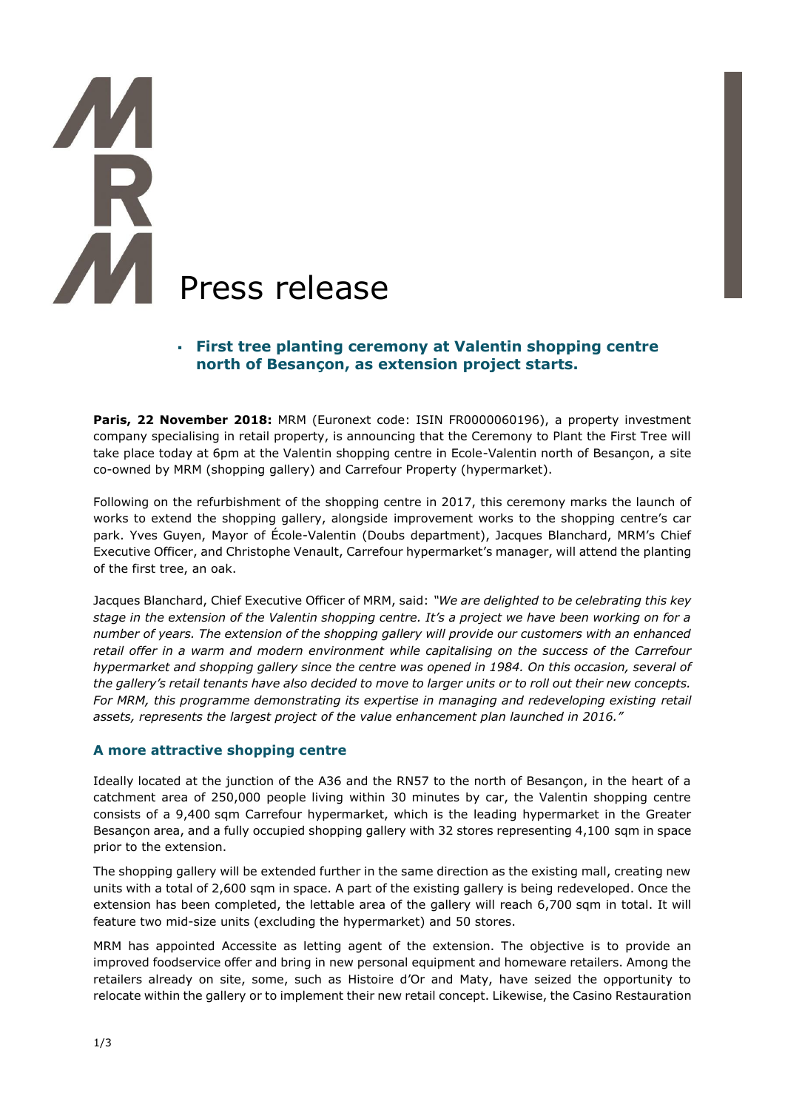# Press release

# ▪ **First tree planting ceremony at Valentin shopping centre north of Besançon, as extension project starts.**

**Paris, 22 November 2018:** MRM (Euronext code: ISIN FR0000060196), a property investment company specialising in retail property, is announcing that the Ceremony to Plant the First Tree will take place today at 6pm at the Valentin shopping centre in Ecole-Valentin north of Besançon, a site co-owned by MRM (shopping gallery) and Carrefour Property (hypermarket).

Following on the refurbishment of the shopping centre in 2017, this ceremony marks the launch of works to extend the shopping gallery, alongside improvement works to the shopping centre's car park. Yves Guyen, Mayor of École-Valentin (Doubs department), Jacques Blanchard, MRM's Chief Executive Officer, and Christophe Venault, Carrefour hypermarket's manager, will attend the planting of the first tree, an oak.

Jacques Blanchard, Chief Executive Officer of MRM, said: *"We are delighted to be celebrating this key stage in the extension of the Valentin shopping centre. It's a project we have been working on for a number of years. The extension of the shopping gallery will provide our customers with an enhanced retail offer in a warm and modern environment while capitalising on the success of the Carrefour hypermarket and shopping gallery since the centre was opened in 1984. On this occasion, several of the gallery's retail tenants have also decided to move to larger units or to roll out their new concepts. For MRM, this programme demonstrating its expertise in managing and redeveloping existing retail assets, represents the largest project of the value enhancement plan launched in 2016."*

# **A more attractive shopping centre**

Ideally located at the junction of the A36 and the RN57 to the north of Besançon, in the heart of a catchment area of 250,000 people living within 30 minutes by car, the Valentin shopping centre consists of a 9,400 sqm Carrefour hypermarket, which is the leading hypermarket in the Greater Besançon area, and a fully occupied shopping gallery with 32 stores representing 4,100 sqm in space prior to the extension.

The shopping gallery will be extended further in the same direction as the existing mall, creating new units with a total of 2,600 sqm in space. A part of the existing gallery is being redeveloped. Once the extension has been completed, the lettable area of the gallery will reach 6,700 sqm in total. It will feature two mid-size units (excluding the hypermarket) and 50 stores.

MRM has appointed Accessite as letting agent of the extension. The objective is to provide an improved foodservice offer and bring in new personal equipment and homeware retailers. Among the retailers already on site, some, such as Histoire d'Or and Maty, have seized the opportunity to relocate within the gallery or to implement their new retail concept. Likewise, the Casino Restauration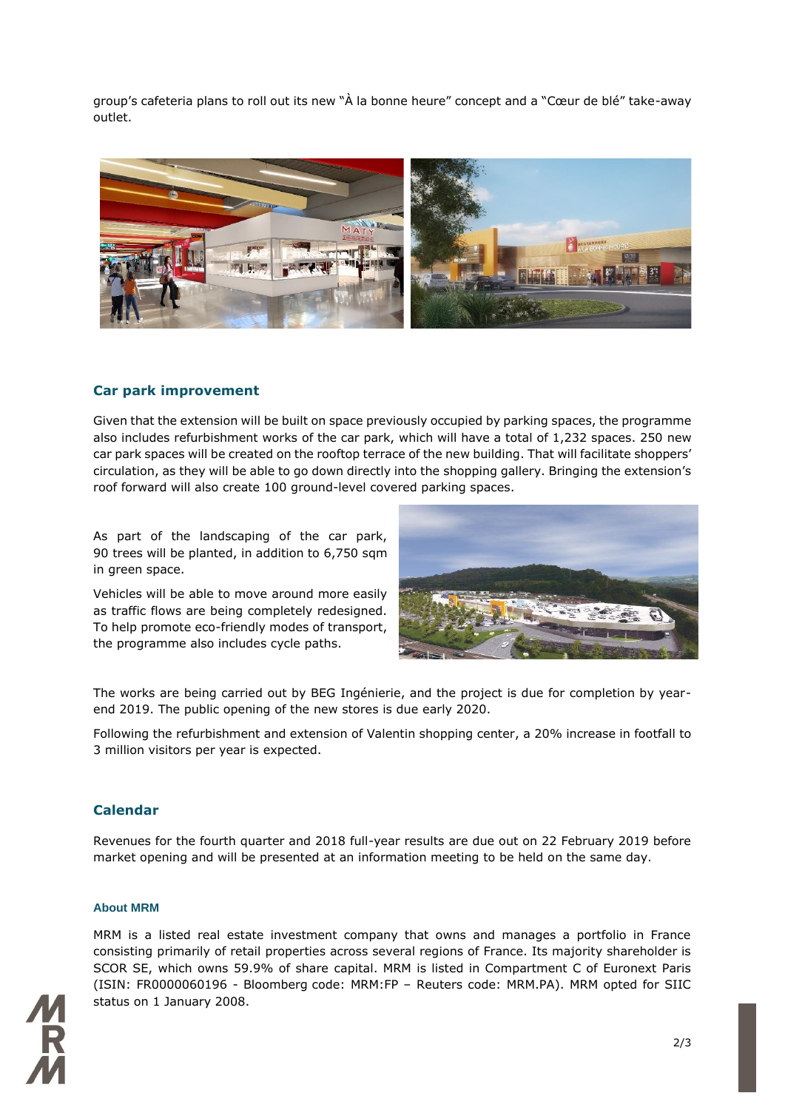group's cafeteria plans to roll out its new "À la bonne heure" concept and a "Cœur de blé" take-away outlet.



## **Car park improvement**

Given that the extension will be built on space previously occupied by parking spaces, the programme also includes refurbishment works of the car park, which will have a total of 1,232 spaces. 250 new car park spaces will be created on the rooftop terrace of the new building. That will facilitate shoppers' circulation, as they will be able to go down directly into the shopping gallery. Bringing the extension's roof forward will also create 100 ground-level covered parking spaces.

As part of the landscaping of the car park, 90 trees will be planted, in addition to 6,750 sqm in green space.

Vehicles will be able to move around more easily as traffic flows are being completely redesigned. To help promote eco-friendly modes of transport, the programme also includes cycle paths.



The works are being carried out by BEG Ingénierie, and the project is due for completion by yearend 2019. The public opening of the new stores is due early 2020.

Following the refurbishment and extension of Valentin shopping center, a 20% increase in footfall to 3 million visitors per year is expected.

### **Calendar**

Revenues for the fourth quarter and 2018 full-year results are due out on 22 February 2019 before market opening and will be presented at an information meeting to be held on the same day.

### **About MRM**

MRM is a listed real estate investment company that owns and manages a portfolio in France consisting primarily of retail properties across several regions of France. Its majority shareholder is SCOR SE, which owns 59.9% of share capital. MRM is listed in Compartment C of Euronext Paris (ISIN: FR0000060196 - Bloomberg code: MRM:FP – Reuters code: MRM.PA). MRM opted for SIIC status on 1 January 2008.